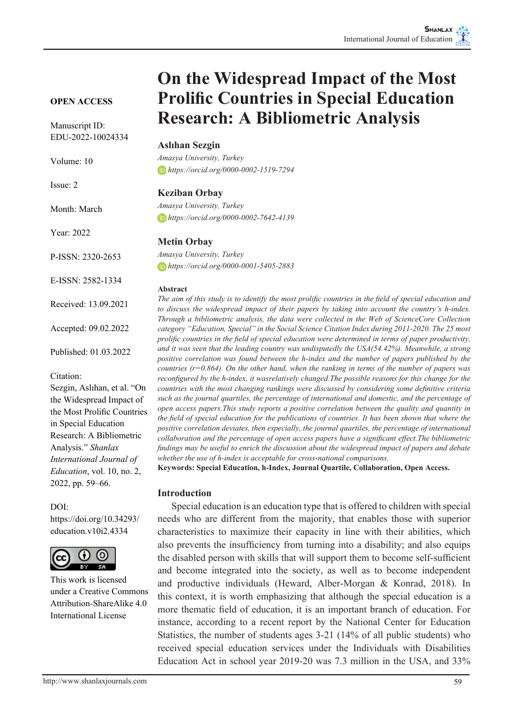### **OPEN ACCESS**

Manuscript ID: EDU-2022-10024334

Volume: 10

Issue: 2

Month: March

Year: 2022

P-ISSN: 2320-2653

E-ISSN: 2582-1334

Received: 13.09.2021

Accepted: 09.02.2022

Published: 01.03.2022

Citation:

Sezgin, Aslıhan, et al. "On the Widespread Impact of the Most Prolific Countries in Special Education Research: A Bibliometric Analysis." *Shanlax International Journal of Education*, vol. 10, no. 2, 2022, pp. 59–66.

### DOI:

https://doi.org/10.34293/ education.v10i2.4334



This work is licensed under a Creative Commons Attribution-ShareAlike 4.0 International License

# **On the Widespread Impact of the Most Prolific Countries in Special Education Research: A Bibliometric Analysis**

## **Aslıhan Sezgin**

*Amasya University, Turkey https://orcid.org/0000-0002-1519-7294*

## **Keziban Orbay**

*Amasya University, Turkey https://orcid.org/0000-0002-7642-4139*

## **Metin Orbay**

*Amasya University, Turkey https://orcid.org/0000-0001-5405-2883*

#### **Abstract**

*The aim of this study is to identify the most prolific countries in the field of special education and to discuss the widespread impact of their papers by taking into account the country's h-index. Through a bibliometric analysis, the data were collected in the Web of ScienceCore Collection category "Education, Special" in the Social Science Citation Index during 2011-2020. The 25 most prolific countries in the field of special education were determined in terms of paper productivity, and it was seen that the leading country was undisputedly the USA(54.42%). Meanwhile, a strong positive correlation was found between the h-index and the number of papers published by the countries (r=0.864). On the other hand, when the ranking in terms of the number of papers was reconfigured by the h-index, it wasrelatively changed.The possible reasons for this change for the countries with the most changing rankings were discussed by considering some definitive criteria such as the journal quartiles, the percentage of international and domestic, and the percentage of open access papers.This study reports a positive correlation between the quality and quantity in the field of special education for the publications of countries. It has been shown that where the positive correlation deviates, then especially, the journal quartiles, the percentage of international collaboration and the percentage of open access papers have a significant effect.The bibliometric findings may be useful to enrich the discussion about the widespread impact of papers and debate whether the use of h-index is acceptable for cross-national comparisons.*

**Keywords: Special Education, h-Index, Journal Quartile, Collaboration, Open Access.**

## **Introduction**

Special education is an education type that is offered to children with special needs who are different from the majority, that enables those with superior characteristics to maximize their capacity in line with their abilities, which also prevents the insufficiency from turning into a disability; and also equips the disabled person with skills that will support them to become self-sufficient and become integrated into the society, as well as to become independent and productive individuals (Heward, Alber-Morgan & Konrad, 2018). In this context, it is worth emphasizing that although the special education is a more thematic field of education, it is an important branch of education. For instance, according to a recent report by the National Center for Education Statistics, the number of students ages 3-21 (14% of all public students) who received special education services under the Individuals with Disabilities Education Act in school year 2019-20 was 7.3 million in the USA, and 33%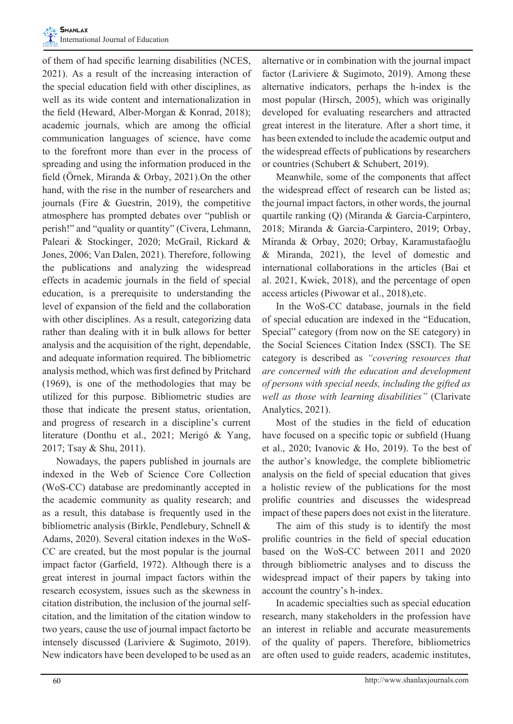of them of had specific learning disabilities (NCES, 2021). As a result of the increasing interaction of the special education field with other disciplines, as well as its wide content and internationalization in the field (Heward, Alber-Morgan & Konrad, 2018); academic journals, which are among the official communication languages of science, have come to the forefront more than ever in the process of spreading and using the information produced in the field (Örnek, Miranda & Orbay, 2021).On the other hand, with the rise in the number of researchers and journals (Fire & Guestrin, 2019), the competitive atmosphere has prompted debates over "publish or perish!" and "quality or quantity" (Civera, Lehmann, Paleari & Stockinger, 2020; McGrail, Rickard & Jones, 2006; Van Dalen, 2021). Therefore, following the publications and analyzing the widespread effects in academic journals in the field of special education, is a prerequisite to understanding the level of expansion of the field and the collaboration with other disciplines. As a result, categorizing data rather than dealing with it in bulk allows for better analysis and the acquisition of the right, dependable, and adequate information required. The bibliometric analysis method, which was first defined by Pritchard (1969), is one of the methodologies that may be utilized for this purpose. Bibliometric studies are those that indicate the present status, orientation, and progress of research in a discipline's current literature (Donthu et al., 2021; Merigó & Yang, 2017; Tsay & Shu, 2011).

Nowadays, the papers published in journals are indexed in the Web of Science Core Collection (WoS-CC) database are predominantly accepted in the academic community as quality research; and as a result, this database is frequently used in the bibliometric analysis (Birkle, Pendlebury, Schnell & Adams, 2020). Several citation indexes in the WoS-CC are created, but the most popular is the journal impact factor (Garfield, 1972). Although there is a great interest in journal impact factors within the research ecosystem, issues such as the skewness in citation distribution, the inclusion of the journal selfcitation, and the limitation of the citation window to two years, cause the use of journal impact factorto be intensely discussed (Lariviere & Sugimoto, 2019). New indicators have been developed to be used as an

alternative or in combination with the journal impact factor (Lariviere & Sugimoto, 2019). Among these alternative indicators, perhaps the h-index is the most popular (Hirsch, 2005), which was originally developed for evaluating researchers and attracted great interest in the literature. After a short time, it has been extended to include the academic output and the widespread effects of publications by researchers or countries (Schubert & Schubert, 2019).

Meanwhile, some of the components that affect the widespread effect of research can be listed as; the journal impact factors, in other words, the journal quartile ranking (Q) (Miranda & Garcia-Carpintero, 2018; Miranda & Garcia-Carpintero, 2019; Orbay, Miranda & Orbay, 2020; Orbay, Karamustafaoğlu & Miranda, 2021), the level of domestic and international collaborations in the articles (Bai et al. 2021, Kwiek, 2018), and the percentage of open access articles (Piwowar et al., 2018),etc.

In the WoS-CC database, journals in the field of special education are indexed in the "Education, Special" category (from now on the SE category) in the Social Sciences Citation Index (SSCI). The SE category is described as *"covering resources that are concerned with the education and development of persons with special needs, including the gifted as well as those with learning disabilities"* (Clarivate Analytics, 2021).

Most of the studies in the field of education have focused on a specific topic or subfield (Huang et al., 2020; Ivanovic & Ho, 2019). To the best of the author's knowledge, the complete bibliometric analysis on the field of special education that gives a holistic review of the publications for the most prolific countries and discusses the widespread impact of these papers does not exist in the literature.

The aim of this study is to identify the most prolific countries in the field of special education based on the WoS-CC between 2011 and 2020 through bibliometric analyses and to discuss the widespread impact of their papers by taking into account the country's h-index.

In academic specialties such as special education research, many stakeholders in the profession have an interest in reliable and accurate measurements of the quality of papers. Therefore, bibliometrics are often used to guide readers, academic institutes,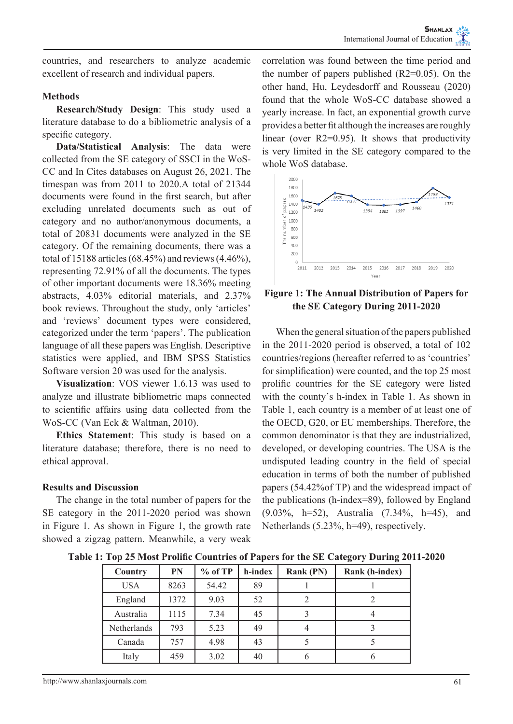countries, and researchers to analyze academic excellent of research and individual papers.

# **Methods**

**Research/Study Design**: This study used a literature database to do a bibliometric analysis of a specific category.

**Data/Statistical Analysis**: The data were collected from the SE category of SSCI in the WoS-CC and In Cites databases on August 26, 2021. The timespan was from 2011 to 2020.A total of 21344 documents were found in the first search, but after excluding unrelated documents such as out of category and no author/anonymous documents, a total of 20831 documents were analyzed in the SE category. Of the remaining documents, there was a total of 15188 articles (68.45%) and reviews (4.46%), representing 72.91% of all the documents. The types of other important documents were 18.36% meeting abstracts, 4.03% editorial materials, and 2.37% book reviews. Throughout the study, only 'articles' and 'reviews' document types were considered, categorized under the term 'papers'. The publication language of all these papers was English. Descriptive statistics were applied, and IBM SPSS Statistics Software version 20 was used for the analysis.

**Visualization**: VOS viewer 1.6.13 was used to analyze and illustrate bibliometric maps connected to scientific affairs using data collected from the WoS-CC (Van Eck & Waltman, 2010).

**Ethics Statement**: This study is based on a literature database; therefore, there is no need to ethical approval.

## **Results and Discussion**

The change in the total number of papers for the SE category in the 2011-2020 period was shown in Figure 1. As shown in Figure 1, the growth rate showed a zigzag pattern. Meanwhile, a very weak correlation was found between the time period and the number of papers published  $(R2=0.05)$ . On the other hand, Hu, Leydesdorff and Rousseau (2020) found that the whole WoS-CC database showed a yearly increase. In fact, an exponential growth curve provides a better fit although the increases are roughly linear (over R2=0.95). It shows that productivity is very limited in the SE category compared to the whole WoS database.



# **Figure 1: The Annual Distribution of Papers for the SE Category During 2011-2020**

When the general situation of the papers published in the 2011-2020 period is observed, a total of 102 countries/regions (hereafter referred to as 'countries' for simplification) were counted, and the top 25 most prolific countries for the SE category were listed with the county's h-index in Table 1. As shown in Table 1, each country is a member of at least one of the OECD, G20, or EU memberships. Therefore, the common denominator is that they are industrialized, developed, or developing countries. The USA is the undisputed leading country in the field of special education in terms of both the number of published papers (54.42%of TP) and the widespread impact of the publications (h-index=89), followed by England (9.03%, h=52), Australia (7.34%, h=45), and Netherlands (5.23%, h=49), respectively.

**Table 1: Top 25 Most Prolific Countries of Papers for the SE Category During 2011-2020**

| Country     | PN   | $%$ of TP | h-index | Rank (PN) | Rank (h-index) |
|-------------|------|-----------|---------|-----------|----------------|
| <b>USA</b>  | 8263 | 54.42     | 89      |           |                |
| England     | 1372 | 9.03      | 52      |           |                |
| Australia   | 1115 | 7.34      | 45      |           |                |
| Netherlands | 793  | 5.23      | 49      |           |                |
| Canada      | 757  | 4.98      | 43      |           |                |
| Italy       | 459  | 3.02      | 40      |           |                |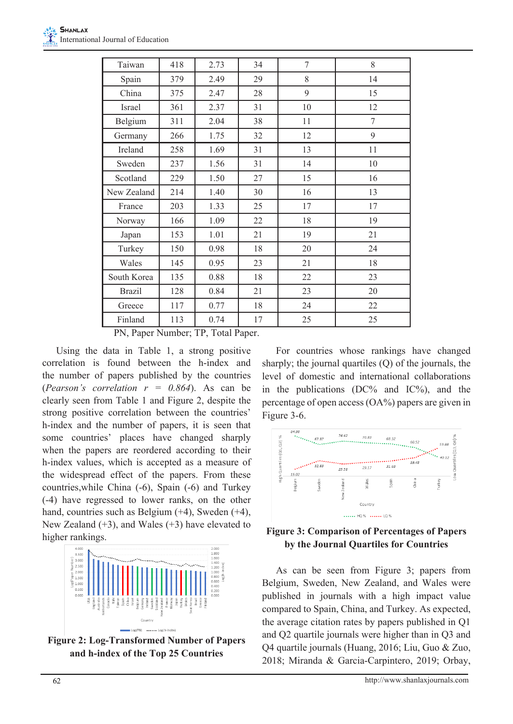| Taiwan        | 418 | 2.73 | 34 | 7  | 8  |
|---------------|-----|------|----|----|----|
| Spain         | 379 | 2.49 | 29 | 8  | 14 |
| China         | 375 | 2.47 | 28 | 9  | 15 |
| Israel        | 361 | 2.37 | 31 | 10 | 12 |
| Belgium       | 311 | 2.04 | 38 | 11 | 7  |
| Germany       | 266 | 1.75 | 32 | 12 | 9  |
| Ireland       | 258 | 1.69 | 31 | 13 | 11 |
| Sweden        | 237 | 1.56 | 31 | 14 | 10 |
| Scotland      | 229 | 1.50 | 27 | 15 | 16 |
| New Zealand   | 214 | 1.40 | 30 | 16 | 13 |
| France        | 203 | 1.33 | 25 | 17 | 17 |
| Norway        | 166 | 1.09 | 22 | 18 | 19 |
| Japan         | 153 | 1.01 | 21 | 19 | 21 |
| Turkey        | 150 | 0.98 | 18 | 20 | 24 |
| Wales         | 145 | 0.95 | 23 | 21 | 18 |
| South Korea   | 135 | 0.88 | 18 | 22 | 23 |
| <b>Brazil</b> | 128 | 0.84 | 21 | 23 | 20 |
| Greece        | 117 | 0.77 | 18 | 24 | 22 |
| Finland       | 113 | 0.74 | 17 | 25 | 25 |

PN, Paper Number; TP, Total Paper.

Using the data in Table 1, a strong positive correlation is found between the h-index and the number of papers published by the countries (*Pearson's correlation r = 0.864*). As can be clearly seen from Table 1 and Figure 2, despite the strong positive correlation between the countries' h-index and the number of papers, it is seen that some countries' places have changed sharply when the papers are reordered according to their h-index values, which is accepted as a measure of the widespread effect of the papers. From these countries,while China (-6), Spain (-6) and Turkey (-4) have regressed to lower ranks, on the other hand, countries such as Belgium (+4), Sweden (+4), New Zealand  $(+3)$ , and Wales  $(+3)$  have elevated to higher rankings.



**Figure 2: Log-Transformed Number of Papers and h-index of the Top 25 Countries**

For countries whose rankings have changed sharply; the journal quartiles (Q) of the journals, the level of domestic and international collaborations in the publications  $(DC\%$  and  $IC\%)$ , and the percentage of open access (OA%) papers are given in Figure 3-6.





As can be seen from Figure 3; papers from Belgium, Sweden, New Zealand, and Wales were published in journals with a high impact value compared to Spain, China, and Turkey. As expected, the average citation rates by papers published in Q1 and Q2 quartile journals were higher than in Q3 and Q4 quartile journals (Huang, 2016; Liu, Guo & Zuo, 2018; Miranda & Garcia-Carpintero, 2019; Orbay,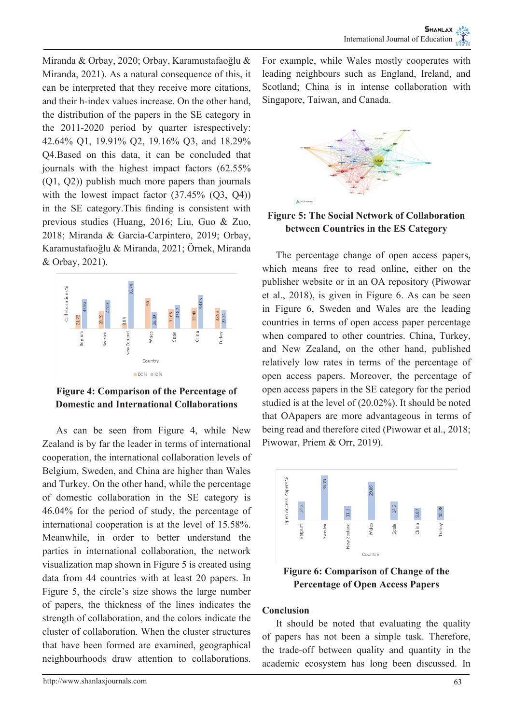Miranda & Orbay, 2020; Orbay, Karamustafaoğlu & Miranda, 2021). As a natural consequence of this, it can be interpreted that they receive more citations, and their h-index values increase. On the other hand, the distribution of the papers in the SE category in the 2011-2020 period by quarter isrespectively: 42.64% Q1, 19.91% Q2, 19.16% Q3, and 18.29% Q4.Based on this data, it can be concluded that journals with the highest impact factors (62.55% (Q1, Q2)) publish much more papers than journals with the lowest impact factor  $(37.45\%)(Q3, Q4)$ in the SE category.This finding is consistent with previous studies (Huang, 2016; Liu, Guo & Zuo, 2018; Miranda & Garcia-Carpintero, 2019; Orbay, Karamustafaoğlu & Miranda, 2021; Örnek, Miranda & Orbay, 2021).



**Figure 4: Comparison of the Percentage of Domestic and International Collaborations**

As can be seen from Figure 4, while New Zealand is by far the leader in terms of international cooperation, the international collaboration levels of Belgium, Sweden, and China are higher than Wales and Turkey. On the other hand, while the percentage of domestic collaboration in the SE category is 46.04% for the period of study, the percentage of international cooperation is at the level of 15.58%. Meanwhile, in order to better understand the parties in international collaboration, the network visualization map shown in Figure 5 is created using data from 44 countries with at least 20 papers. In Figure 5, the circle's size shows the large number of papers, the thickness of the lines indicates the strength of collaboration, and the colors indicate the cluster of collaboration. When the cluster structures that have been formed are examined, geographical neighbourhoods draw attention to collaborations.

For example, while Wales mostly cooperates with leading neighbours such as England, Ireland, and Scotland; China is in intense collaboration with Singapore, Taiwan, and Canada.



**Figure 5: The Social Network of Collaboration between Countries in the ES Category**

The percentage change of open access papers, which means free to read online, either on the publisher website or in an OA repository (Piwowar et al., 2018), is given in Figure 6. As can be seen in Figure 6, Sweden and Wales are the leading countries in terms of open access paper percentage when compared to other countries. China, Turkey, and New Zealand, on the other hand, published relatively low rates in terms of the percentage of open access papers. Moreover, the percentage of open access papers in the SE category for the period studied is at the level of (20.02%). It should be noted that OApapers are more advantageous in terms of being read and therefore cited (Piwowar et al., 2018; Piwowar, Priem & Orr, 2019).



**Figure 6: Comparison of Change of the Percentage of Open Access Papers**

## **Conclusion**

It should be noted that evaluating the quality of papers has not been a simple task. Therefore, the trade-off between quality and quantity in the academic ecosystem has long been discussed. In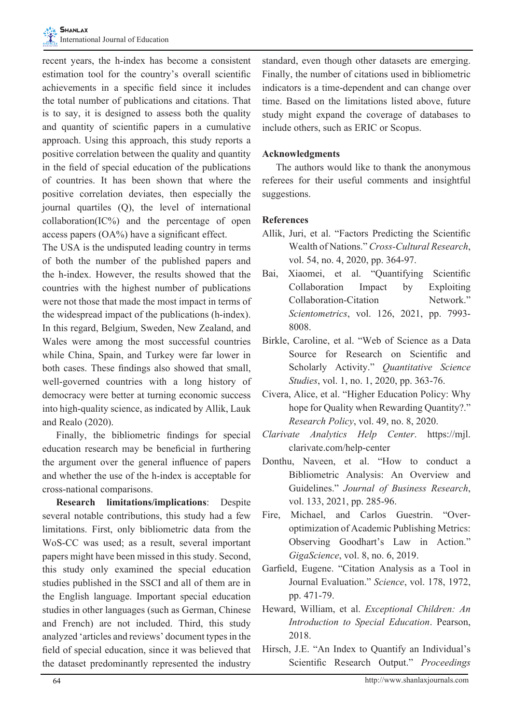recent years, the h-index has become a consistent estimation tool for the country's overall scientific achievements in a specific field since it includes the total number of publications and citations. That is to say, it is designed to assess both the quality and quantity of scientific papers in a cumulative approach. Using this approach, this study reports a positive correlation between the quality and quantity in the field of special education of the publications of countries. It has been shown that where the positive correlation deviates, then especially the journal quartiles (Q), the level of international  $collaboration(IC%)$  and the percentage of open access papers (OA%) have a significant effect.

The USA is the undisputed leading country in terms of both the number of the published papers and the h-index. However, the results showed that the countries with the highest number of publications were not those that made the most impact in terms of the widespread impact of the publications (h-index). In this regard, Belgium, Sweden, New Zealand, and Wales were among the most successful countries while China, Spain, and Turkey were far lower in both cases. These findings also showed that small, well-governed countries with a long history of democracy were better at turning economic success into high-quality science, as indicated by Allik, Lauk and Realo (2020).

Finally, the bibliometric findings for special education research may be beneficial in furthering the argument over the general influence of papers and whether the use of the h-index is acceptable for cross-national comparisons.

**Research limitations/implications**: Despite several notable contributions, this study had a few limitations. First, only bibliometric data from the WoS-CC was used; as a result, several important papers might have been missed in this study. Second, this study only examined the special education studies published in the SSCI and all of them are in the English language. Important special education studies in other languages (such as German, Chinese and French) are not included. Third, this study analyzed 'articles and reviews' document types in the field of special education, since it was believed that the dataset predominantly represented the industry standard, even though other datasets are emerging. Finally, the number of citations used in bibliometric indicators is a time-dependent and can change over time. Based on the limitations listed above, future study might expand the coverage of databases to include others, such as ERIC or Scopus.

## **Acknowledgments**

The authors would like to thank the anonymous referees for their useful comments and insightful suggestions.

## **References**

- Allik, Juri, et al. "Factors Predicting the Scientific Wealth of Nations." *Cross-Cultural Research*, vol. 54, no. 4, 2020, pp. 364-97.
- Bai, Xiaomei, et al. "Quantifying Scientific Collaboration Impact by Exploiting Collaboration-Citation Network." *Scientometrics*, vol. 126, 2021, pp. 7993- 8008.
- Birkle, Caroline, et al. "Web of Science as a Data Source for Research on Scientific and Scholarly Activity." *Quantitative Science Studies*, vol. 1, no. 1, 2020, pp. 363-76.
- Civera, Alice, et al. "Higher Education Policy: Why hope for Quality when Rewarding Quantity?." *Research Policy*, vol. 49, no. 8, 2020.
- *Clarivate Analytics Help Center*. https://mjl. clarivate.com/help-center
- Donthu, Naveen, et al. "How to conduct a Bibliometric Analysis: An Overview and Guidelines." *Journal of Business Research*, vol. 133, 2021, pp. 285-96.
- Fire, Michael, and Carlos Guestrin. "Overoptimization of Academic Publishing Metrics: Observing Goodhart's Law in Action." *GigaScience*, vol. 8, no. 6, 2019.
- Garfield, Eugene. "Citation Analysis as a Tool in Journal Evaluation." *Science*, vol. 178, 1972, pp. 471-79.
- Heward, William, et al. *Exceptional Children: An Introduction to Special Education*. Pearson, 2018.
- Hirsch, J.E. "An Index to Quantify an Individual's Scientific Research Output." *Proceedings*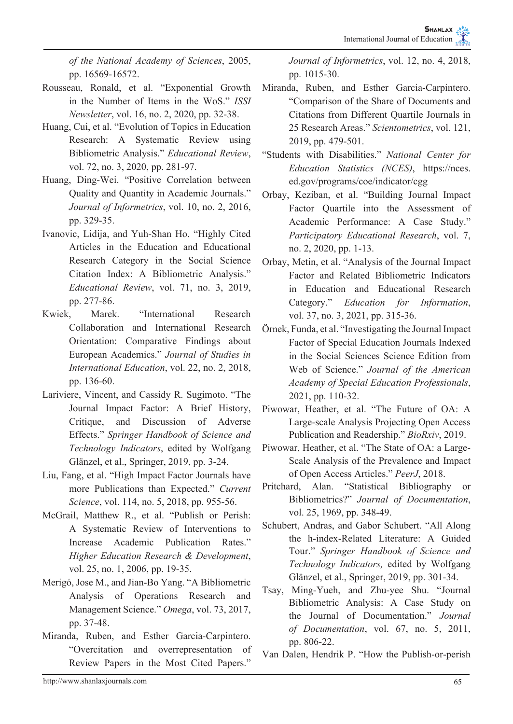*of the National Academy of Sciences*, 2005, pp. 16569-16572.

- Rousseau, Ronald, et al. "Exponential Growth in the Number of Items in the WoS." *ISSI Newsletter*, vol. 16, no. 2, 2020, pp. 32-38.
- Huang, Cui, et al. "Evolution of Topics in Education Research: A Systematic Review using Bibliometric Analysis." *Educational Review*, vol. 72, no. 3, 2020, pp. 281-97.
- Huang, Ding-Wei. "Positive Correlation between Quality and Quantity in Academic Journals." *Journal of Informetrics*, vol. 10, no. 2, 2016, pp. 329-35.
- Ivanovic, Lidija, and Yuh-Shan Ho. "Highly Cited Articles in the Education and Educational Research Category in the Social Science Citation Index: A Bibliometric Analysis." *Educational Review*, vol. 71, no. 3, 2019, pp. 277-86.
- Kwiek, Marek. "International Research Collaboration and International Research Orientation: Comparative Findings about European Academics." *Journal of Studies in International Education*, vol. 22, no. 2, 2018, pp. 136-60.
- Lariviere, Vincent, and Cassidy R. Sugimoto. "The Journal Impact Factor: A Brief History, Critique, and Discussion of Adverse Effects." *Springer Handbook of Science and Technology Indicators*, edited by Wolfgang Glänzel, et al., Springer, 2019, pp. 3-24.
- Liu, Fang, et al. "High Impact Factor Journals have more Publications than Expected." *Current Science*, vol. 114, no. 5, 2018, pp. 955-56.
- McGrail, Matthew R., et al. "Publish or Perish: A Systematic Review of Interventions to Increase Academic Publication Rates." *Higher Education Research & Development*, vol. 25, no. 1, 2006, pp. 19-35.
- Merigó, Jose M., and Jian-Bo Yang. "A Bibliometric Analysis of Operations Research and Management Science." *Omega*, vol. 73, 2017, pp. 37-48.
- Miranda, Ruben, and Esther Garcia-Carpintero. "Overcitation and overrepresentation of Review Papers in the Most Cited Papers."

*Journal of Informetrics*, vol. 12, no. 4, 2018, pp. 1015-30.

- Miranda, Ruben, and Esther Garcia-Carpintero. "Comparison of the Share of Documents and Citations from Different Quartile Journals in 25 Research Areas." *Scientometrics*, vol. 121, 2019, pp. 479-501.
- "Students with Disabilities." *National Center for Education Statistics (NCES)*, https://nces. ed.gov/programs/coe/indicator/cgg
- Orbay, Keziban, et al. "Building Journal Impact Factor Quartile into the Assessment of Academic Performance: A Case Study." *Participatory Educational Research*, vol. 7, no. 2, 2020, pp. 1-13.
- Orbay, Metin, et al. "Analysis of the Journal Impact Factor and Related Bibliometric Indicators in Education and Educational Research Category." *Education for Information*, vol. 37, no. 3, 2021, pp. 315-36.
- Örnek, Funda, et al. "Investigating the Journal Impact Factor of Special Education Journals Indexed in the Social Sciences Science Edition from Web of Science." *Journal of the American Academy of Special Education Professionals*, 2021, pp. 110-32.
- Piwowar, Heather, et al. "The Future of OA: A Large-scale Analysis Projecting Open Access Publication and Readership." *BioRxiv*, 2019.
- Piwowar, Heather, et al. "The State of OA: a Large-Scale Analysis of the Prevalence and Impact of Open Access Articles." *PeerJ*, 2018.
- Pritchard, Alan. "Statistical Bibliography or Bibliometrics?" *Journal of Documentation*, vol. 25, 1969, pp. 348-49.
- Schubert, Andras, and Gabor Schubert. "All Along the h-index-Related Literature: A Guided Tour." *Springer Handbook of Science and Technology Indicators,* edited by Wolfgang Glänzel, et al., Springer, 2019, pp. 301-34.
- Tsay, Ming-Yueh, and Zhu-yee Shu. "Journal Bibliometric Analysis: A Case Study on the Journal of Documentation." *Journal of Documentation*, vol. 67, no. 5, 2011, pp. 806-22.
- Van Dalen, Hendrik P. "How the Publish-or-perish